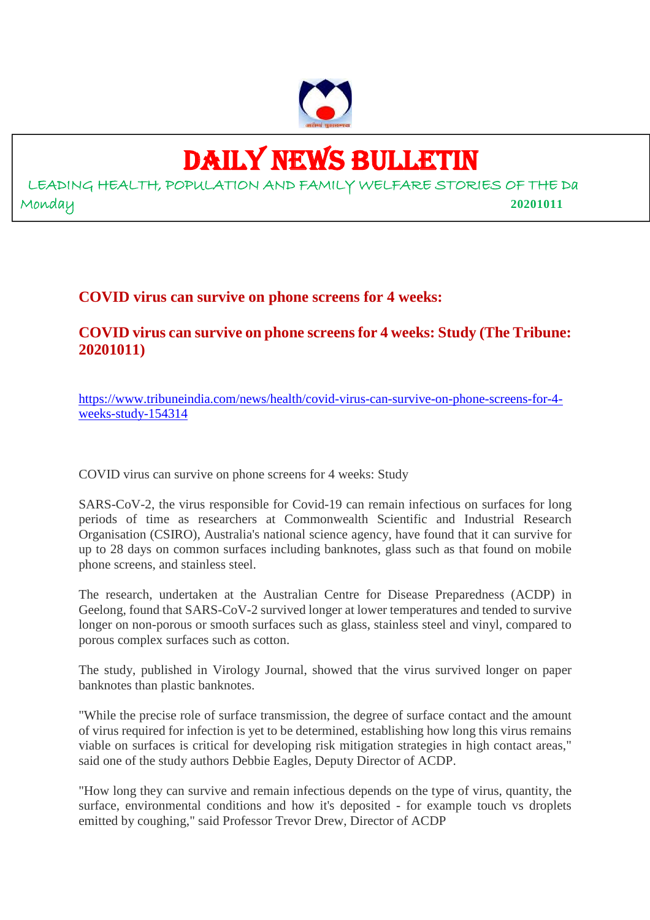

# DAILY NEWS BULLETIN

LEADING HEALTH, POPULATION AND FAMILY WELFARE STORIES OF THE Da Monday **20201011**

# **COVID virus can survive on phone screens for 4 weeks:**

# **COVID virus can survive on phone screens for 4 weeks: Study (The Tribune: 20201011)**

https://www.tribuneindia.com/news/health/covid-virus-can-survive-on-phone-screens-for-4 weeks-study-154314

COVID virus can survive on phone screens for 4 weeks: Study

SARS-CoV-2, the virus responsible for Covid-19 can remain infectious on surfaces for long periods of time as researchers at Commonwealth Scientific and Industrial Research Organisation (CSIRO), Australia's national science agency, have found that it can survive for up to 28 days on common surfaces including banknotes, glass such as that found on mobile phone screens, and stainless steel.

The research, undertaken at the Australian Centre for Disease Preparedness (ACDP) in Geelong, found that SARS-CoV-2 survived longer at lower temperatures and tended to survive longer on non-porous or smooth surfaces such as glass, stainless steel and vinyl, compared to porous complex surfaces such as cotton.

The study, published in Virology Journal, showed that the virus survived longer on paper banknotes than plastic banknotes.

"While the precise role of surface transmission, the degree of surface contact and the amount of virus required for infection is yet to be determined, establishing how long this virus remains viable on surfaces is critical for developing risk mitigation strategies in high contact areas," said one of the study authors Debbie Eagles, Deputy Director of ACDP.

"How long they can survive and remain infectious depends on the type of virus, quantity, the surface, environmental conditions and how it's deposited - for example touch vs droplets emitted by coughing," said Professor Trevor Drew, Director of ACDP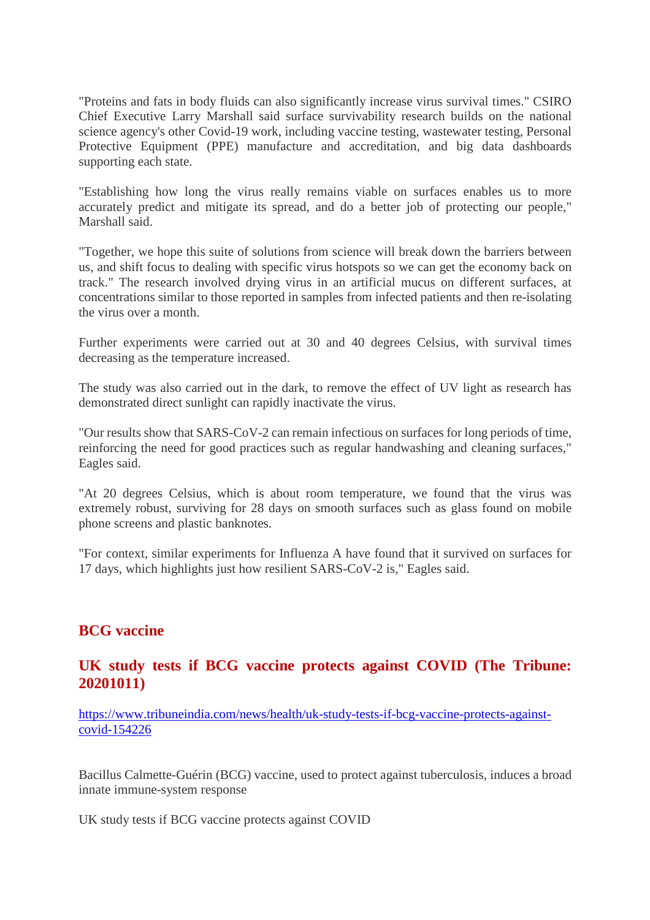"Proteins and fats in body fluids can also significantly increase virus survival times." CSIRO Chief Executive Larry Marshall said surface survivability research builds on the national science agency's other Covid-19 work, including vaccine testing, wastewater testing, Personal Protective Equipment (PPE) manufacture and accreditation, and big data dashboards supporting each state.

"Establishing how long the virus really remains viable on surfaces enables us to more accurately predict and mitigate its spread, and do a better job of protecting our people," Marshall said.

"Together, we hope this suite of solutions from science will break down the barriers between us, and shift focus to dealing with specific virus hotspots so we can get the economy back on track." The research involved drying virus in an artificial mucus on different surfaces, at concentrations similar to those reported in samples from infected patients and then re-isolating the virus over a month.

Further experiments were carried out at 30 and 40 degrees Celsius, with survival times decreasing as the temperature increased.

The study was also carried out in the dark, to remove the effect of UV light as research has demonstrated direct sunlight can rapidly inactivate the virus.

"Our results show that SARS-CoV-2 can remain infectious on surfaces for long periods of time, reinforcing the need for good practices such as regular handwashing and cleaning surfaces," Eagles said.

"At 20 degrees Celsius, which is about room temperature, we found that the virus was extremely robust, surviving for 28 days on smooth surfaces such as glass found on mobile phone screens and plastic banknotes.

"For context, similar experiments for Influenza A have found that it survived on surfaces for 17 days, which highlights just how resilient SARS-CoV-2 is," Eagles said.

### **BCG vaccine**

## **UK study tests if BCG vaccine protects against COVID (The Tribune: 20201011)**

https://www.tribuneindia.com/news/health/uk-study-tests-if-bcg-vaccine-protects-againstcovid-154226

Bacillus Calmette-Guérin (BCG) vaccine, used to protect against tuberculosis, induces a broad innate immune-system response

UK study tests if BCG vaccine protects against COVID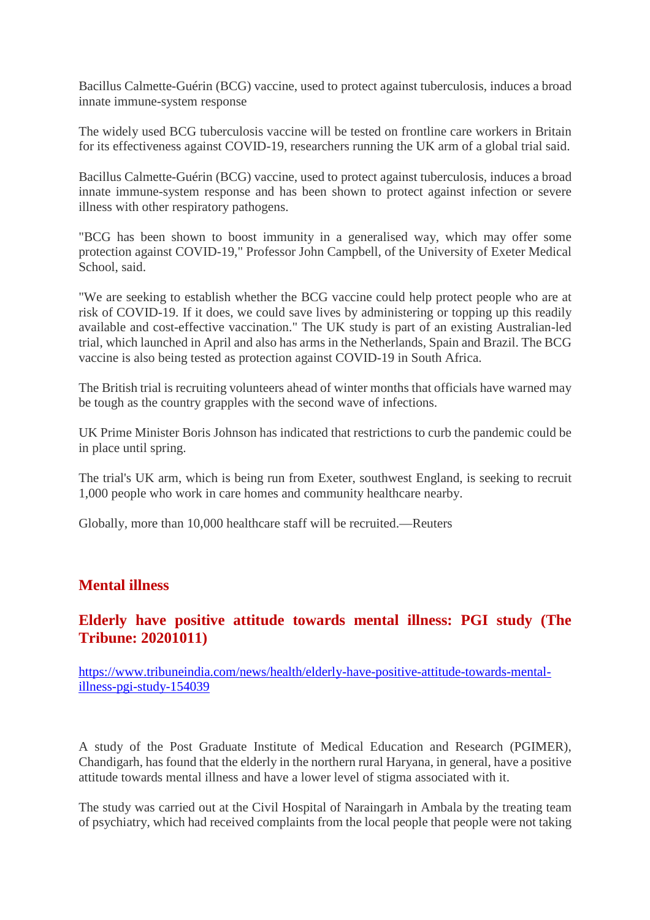Bacillus Calmette-Guérin (BCG) vaccine, used to protect against tuberculosis, induces a broad innate immune-system response

The widely used BCG tuberculosis vaccine will be tested on frontline care workers in Britain for its effectiveness against COVID-19, researchers running the UK arm of a global trial said.

Bacillus Calmette-Guérin (BCG) vaccine, used to protect against tuberculosis, induces a broad innate immune-system response and has been shown to protect against infection or severe illness with other respiratory pathogens.

"BCG has been shown to boost immunity in a generalised way, which may offer some protection against COVID-19," Professor John Campbell, of the University of Exeter Medical School, said.

"We are seeking to establish whether the BCG vaccine could help protect people who are at risk of COVID-19. If it does, we could save lives by administering or topping up this readily available and cost-effective vaccination." The UK study is part of an existing Australian-led trial, which launched in April and also has arms in the Netherlands, Spain and Brazil. The BCG vaccine is also being tested as protection against COVID-19 in South Africa.

The British trial is recruiting volunteers ahead of winter months that officials have warned may be tough as the country grapples with the second wave of infections.

UK Prime Minister Boris Johnson has indicated that restrictions to curb the pandemic could be in place until spring.

The trial's UK arm, which is being run from Exeter, southwest England, is seeking to recruit 1,000 people who work in care homes and community healthcare nearby.

Globally, more than 10,000 healthcare staff will be recruited.—Reuters

### **Mental illness**

## **Elderly have positive attitude towards mental illness: PGI study (The Tribune: 20201011)**

https://www.tribuneindia.com/news/health/elderly-have-positive-attitude-towards-mentalillness-pgi-study-154039

A study of the Post Graduate Institute of Medical Education and Research (PGIMER), Chandigarh, has found that the elderly in the northern rural Haryana, in general, have a positive attitude towards mental illness and have a lower level of stigma associated with it.

The study was carried out at the Civil Hospital of Naraingarh in Ambala by the treating team of psychiatry, which had received complaints from the local people that people were not taking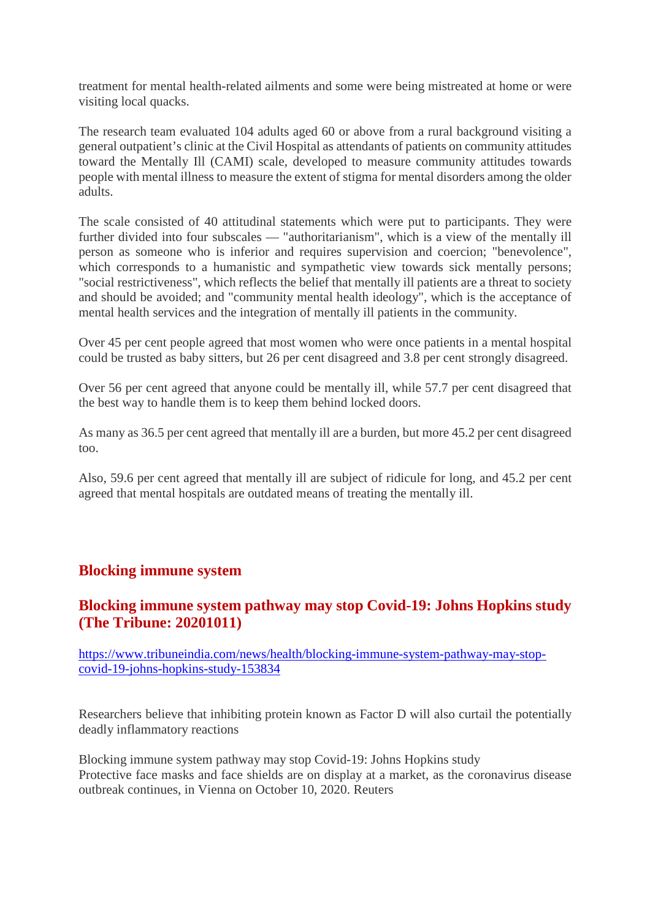treatment for mental health-related ailments and some were being mistreated at home or were visiting local quacks.

The research team evaluated 104 adults aged 60 or above from a rural background visiting a general outpatient's clinic at the Civil Hospital as attendants of patients on community attitudes toward the Mentally Ill (CAMI) scale, developed to measure community attitudes towards people with mental illness to measure the extent of stigma for mental disorders among the older adults.

The scale consisted of 40 attitudinal statements which were put to participants. They were further divided into four subscales — "authoritarianism", which is a view of the mentally ill person as someone who is inferior and requires supervision and coercion; "benevolence", which corresponds to a humanistic and sympathetic view towards sick mentally persons; "social restrictiveness", which reflects the belief that mentally ill patients are a threat to society and should be avoided; and "community mental health ideology", which is the acceptance of mental health services and the integration of mentally ill patients in the community.

Over 45 per cent people agreed that most women who were once patients in a mental hospital could be trusted as baby sitters, but 26 per cent disagreed and 3.8 per cent strongly disagreed.

Over 56 per cent agreed that anyone could be mentally ill, while 57.7 per cent disagreed that the best way to handle them is to keep them behind locked doors.

As many as 36.5 per cent agreed that mentally ill are a burden, but more 45.2 per cent disagreed too.

Also, 59.6 per cent agreed that mentally ill are subject of ridicule for long, and 45.2 per cent agreed that mental hospitals are outdated means of treating the mentally ill.

### **Blocking immune system**

# **Blocking immune system pathway may stop Covid-19: Johns Hopkins study (The Tribune: 20201011)**

https://www.tribuneindia.com/news/health/blocking-immune-system-pathway-may-stopcovid-19-johns-hopkins-study-153834

Researchers believe that inhibiting protein known as Factor D will also curtail the potentially deadly inflammatory reactions

Blocking immune system pathway may stop Covid-19: Johns Hopkins study Protective face masks and face shields are on display at a market, as the coronavirus disease outbreak continues, in Vienna on October 10, 2020. Reuters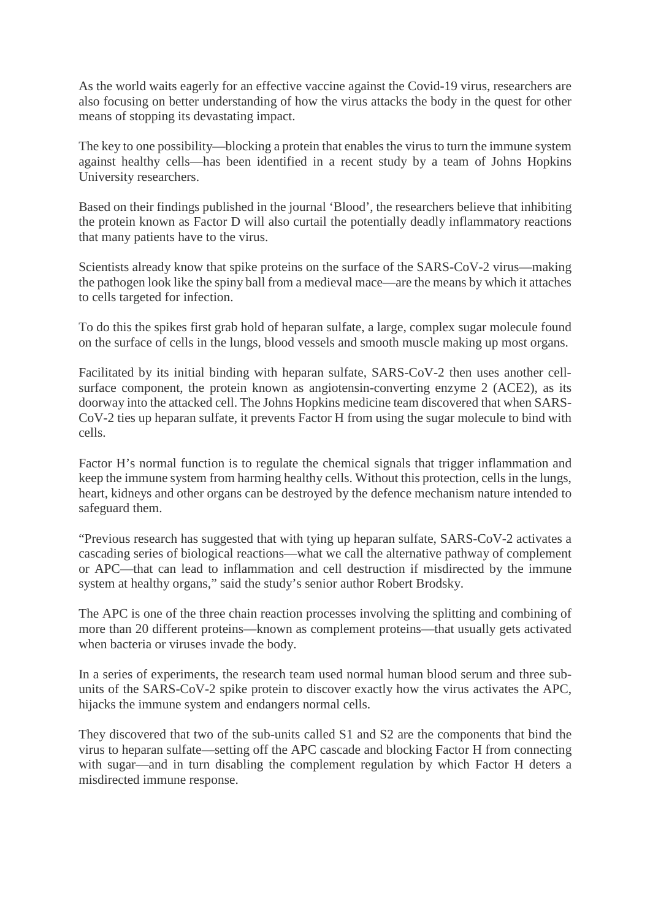As the world waits eagerly for an effective vaccine against the Covid-19 virus, researchers are also focusing on better understanding of how the virus attacks the body in the quest for other means of stopping its devastating impact.

The key to one possibility—blocking a protein that enables the virus to turn the immune system against healthy cells—has been identified in a recent study by a team of Johns Hopkins University researchers.

Based on their findings published in the journal 'Blood', the researchers believe that inhibiting the protein known as Factor D will also curtail the potentially deadly inflammatory reactions that many patients have to the virus.

Scientists already know that spike proteins on the surface of the SARS-CoV-2 virus—making the pathogen look like the spiny ball from a medieval mace—are the means by which it attaches to cells targeted for infection.

To do this the spikes first grab hold of heparan sulfate, a large, complex sugar molecule found on the surface of cells in the lungs, blood vessels and smooth muscle making up most organs.

Facilitated by its initial binding with heparan sulfate, SARS-CoV-2 then uses another cellsurface component, the protein known as angiotensin-converting enzyme 2 (ACE2), as its doorway into the attacked cell. The Johns Hopkins medicine team discovered that when SARS-CoV-2 ties up heparan sulfate, it prevents Factor H from using the sugar molecule to bind with cells.

Factor H's normal function is to regulate the chemical signals that trigger inflammation and keep the immune system from harming healthy cells. Without this protection, cells in the lungs, heart, kidneys and other organs can be destroyed by the defence mechanism nature intended to safeguard them.

"Previous research has suggested that with tying up heparan sulfate, SARS-CoV-2 activates a cascading series of biological reactions—what we call the alternative pathway of complement or APC—that can lead to inflammation and cell destruction if misdirected by the immune system at healthy organs," said the study's senior author Robert Brodsky.

The APC is one of the three chain reaction processes involving the splitting and combining of more than 20 different proteins—known as complement proteins—that usually gets activated when bacteria or viruses invade the body.

In a series of experiments, the research team used normal human blood serum and three subunits of the SARS-CoV-2 spike protein to discover exactly how the virus activates the APC, hijacks the immune system and endangers normal cells.

They discovered that two of the sub-units called S1 and S2 are the components that bind the virus to heparan sulfate—setting off the APC cascade and blocking Factor H from connecting with sugar—and in turn disabling the complement regulation by which Factor H deters a misdirected immune response.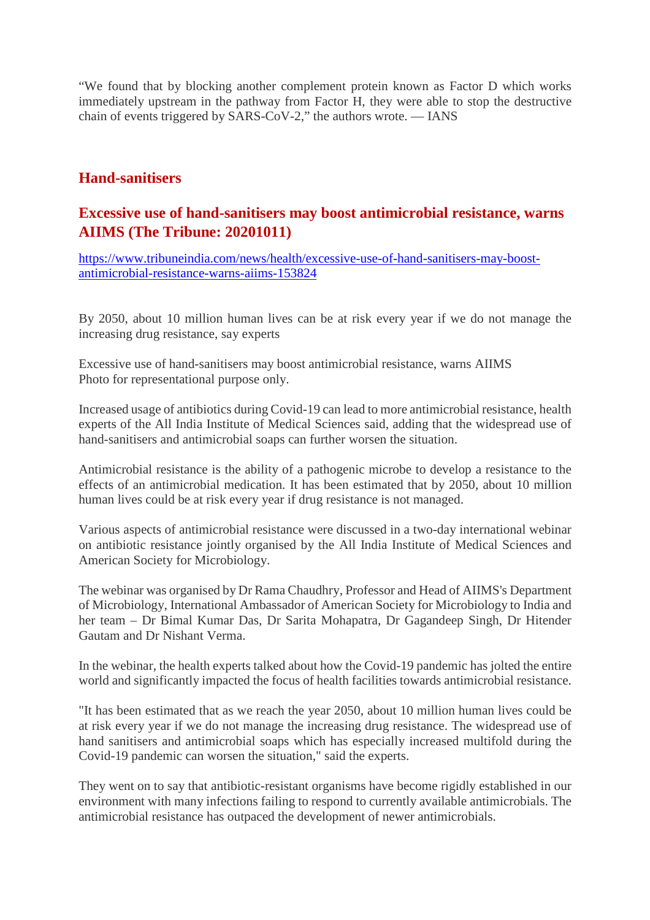"We found that by blocking another complement protein known as Factor D which works immediately upstream in the pathway from Factor H, they were able to stop the destructive chain of events triggered by SARS-CoV-2," the authors wrote. — IANS

# **Hand-sanitisers**

# **Excessive use of hand-sanitisers may boost antimicrobial resistance, warns AIIMS (The Tribune: 20201011)**

https://www.tribuneindia.com/news/health/excessive-use-of-hand-sanitisers-may-boostantimicrobial-resistance-warns-aiims-153824

By 2050, about 10 million human lives can be at risk every year if we do not manage the increasing drug resistance, say experts

Excessive use of hand-sanitisers may boost antimicrobial resistance, warns AIIMS Photo for representational purpose only.

Increased usage of antibiotics during Covid-19 can lead to more antimicrobial resistance, health experts of the All India Institute of Medical Sciences said, adding that the widespread use of hand-sanitisers and antimicrobial soaps can further worsen the situation.

Antimicrobial resistance is the ability of a pathogenic microbe to develop a resistance to the effects of an antimicrobial medication. It has been estimated that by 2050, about 10 million human lives could be at risk every year if drug resistance is not managed.

Various aspects of antimicrobial resistance were discussed in a two-day international webinar on antibiotic resistance jointly organised by the All India Institute of Medical Sciences and American Society for Microbiology.

The webinar was organised by Dr Rama Chaudhry, Professor and Head of AIIMS's Department of Microbiology, International Ambassador of American Society for Microbiology to India and her team – Dr Bimal Kumar Das, Dr Sarita Mohapatra, Dr Gagandeep Singh, Dr Hitender Gautam and Dr Nishant Verma.

In the webinar, the health experts talked about how the Covid-19 pandemic has jolted the entire world and significantly impacted the focus of health facilities towards antimicrobial resistance.

"It has been estimated that as we reach the year 2050, about 10 million human lives could be at risk every year if we do not manage the increasing drug resistance. The widespread use of hand sanitisers and antimicrobial soaps which has especially increased multifold during the Covid-19 pandemic can worsen the situation," said the experts.

They went on to say that antibiotic-resistant organisms have become rigidly established in our environment with many infections failing to respond to currently available antimicrobials. The antimicrobial resistance has outpaced the development of newer antimicrobials.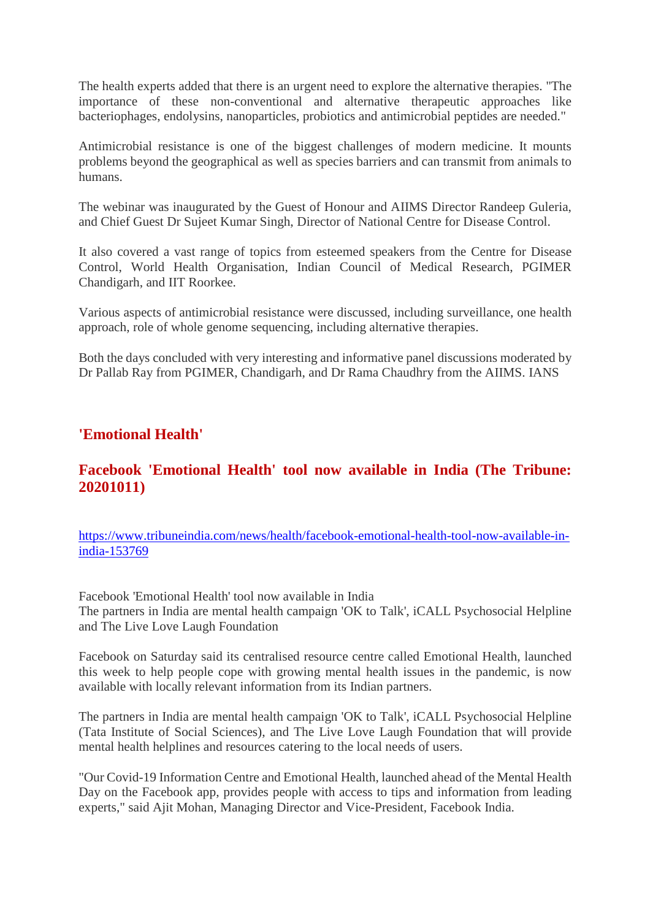The health experts added that there is an urgent need to explore the alternative therapies. "The importance of these non-conventional and alternative therapeutic approaches like bacteriophages, endolysins, nanoparticles, probiotics and antimicrobial peptides are needed."

Antimicrobial resistance is one of the biggest challenges of modern medicine. It mounts problems beyond the geographical as well as species barriers and can transmit from animals to humans.

The webinar was inaugurated by the Guest of Honour and AIIMS Director Randeep Guleria, and Chief Guest Dr Sujeet Kumar Singh, Director of National Centre for Disease Control.

It also covered a vast range of topics from esteemed speakers from the Centre for Disease Control, World Health Organisation, Indian Council of Medical Research, PGIMER Chandigarh, and IIT Roorkee.

Various aspects of antimicrobial resistance were discussed, including surveillance, one health approach, role of whole genome sequencing, including alternative therapies.

Both the days concluded with very interesting and informative panel discussions moderated by Dr Pallab Ray from PGIMER, Chandigarh, and Dr Rama Chaudhry from the AIIMS. IANS

### **'Emotional Health'**

# **Facebook 'Emotional Health' tool now available in India (The Tribune: 20201011)**

https://www.tribuneindia.com/news/health/facebook-emotional-health-tool-now-available-inindia-153769

Facebook 'Emotional Health' tool now available in India The partners in India are mental health campaign 'OK to Talk', iCALL Psychosocial Helpline and The Live Love Laugh Foundation

Facebook on Saturday said its centralised resource centre called Emotional Health, launched this week to help people cope with growing mental health issues in the pandemic, is now available with locally relevant information from its Indian partners.

The partners in India are mental health campaign 'OK to Talk', iCALL Psychosocial Helpline (Tata Institute of Social Sciences), and The Live Love Laugh Foundation that will provide mental health helplines and resources catering to the local needs of users.

"Our Covid-19 Information Centre and Emotional Health, launched ahead of the Mental Health Day on the Facebook app, provides people with access to tips and information from leading experts," said Ajit Mohan, Managing Director and Vice-President, Facebook India.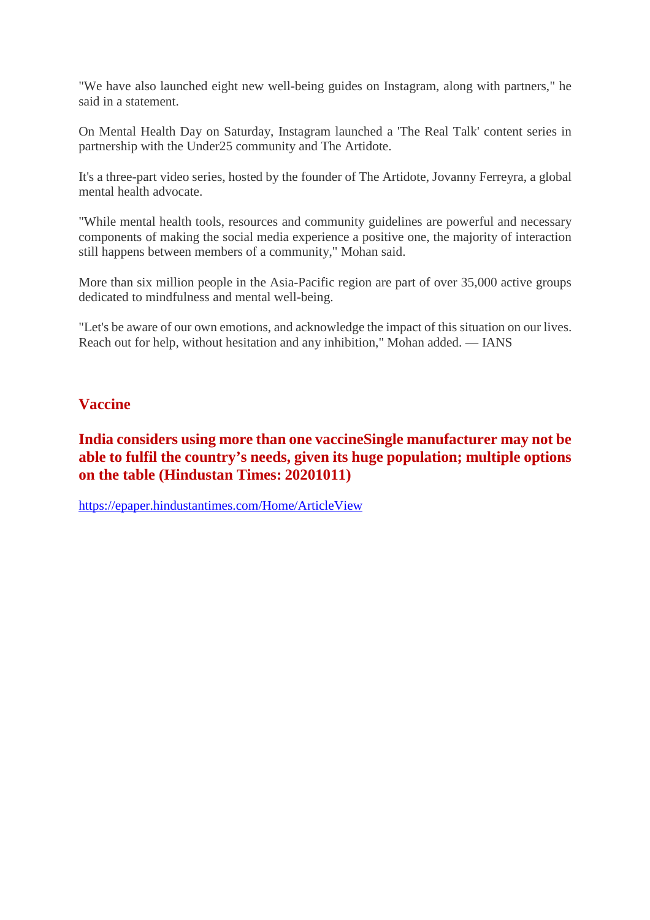"We have also launched eight new well-being guides on Instagram, along with partners," he said in a statement.

On Mental Health Day on Saturday, Instagram launched a 'The Real Talk' content series in partnership with the Under25 community and The Artidote.

It's a three-part video series, hosted by the founder of The Artidote, Jovanny Ferreyra, a global mental health advocate.

"While mental health tools, resources and community guidelines are powerful and necessary components of making the social media experience a positive one, the majority of interaction still happens between members of a community," Mohan said.

More than six million people in the Asia-Pacific region are part of over 35,000 active groups dedicated to mindfulness and mental well-being.

"Let's be aware of our own emotions, and acknowledge the impact of this situation on our lives. Reach out for help, without hesitation and any inhibition," Mohan added. — IANS

## **Vaccine**

# **India considers using more than one vaccineSingle manufacturer may not be able to fulfil the country's needs, given its huge population; multiple options on the table (Hindustan Times: 20201011)**

https://epaper.hindustantimes.com/Home/ArticleView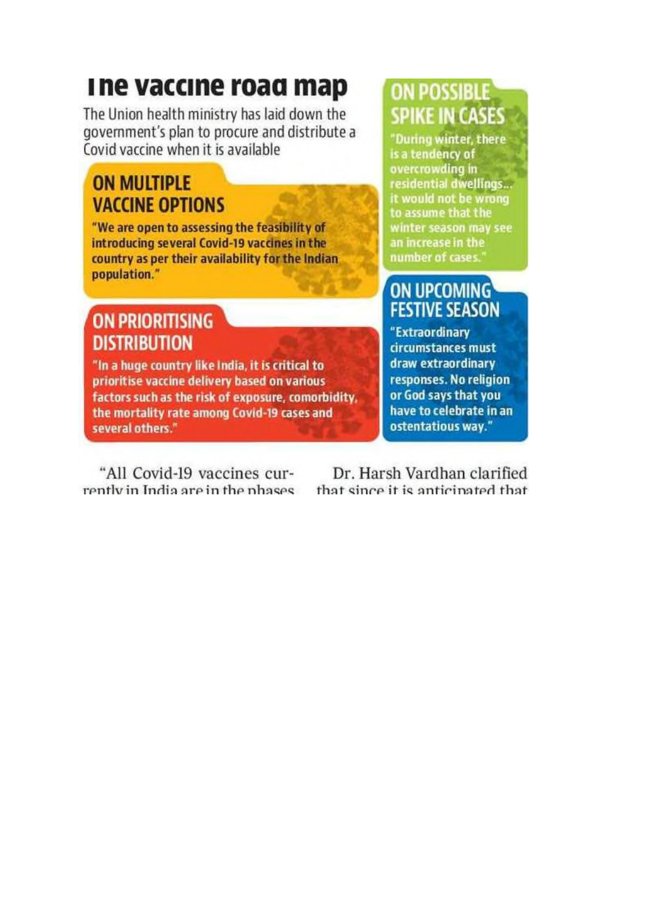# The vaccine road map

The Union health ministry has laid down the government's plan to procure and distribute a Covid vaccine when it is available

# **ON MULTIPLE VACCINE OPTIONS**

"We are open to assessing the feasibility of introducing several Covid-19 vaccines in the country as per their availability for the Indian population."

# **ON PRIORITISING DISTRIBUTION**

"In a huge country like India, it is critical to prioritise vaccine delivery based on various factors such as the risk of exposure, comorbidity, the mortality rate among Covid-19 cases and several others."

**ON POSSIBLE SPIKE IN CASES** 

"During winter, there is a tendency of overcrowding in residential dwellings... it would not be wrong to assume that the winter season may see an increase in the number of cases.

# **ON UPCOMING FESTIVE SEASON**

"Extraordinary circumstances must draw extraordinary responses. No religion or God says that you have to celebrate in an ostentatious way."

"All Covid-19 vaccines currently in India are in the phases

Dr. Harsh Vardhan clarified that since it is anticipated that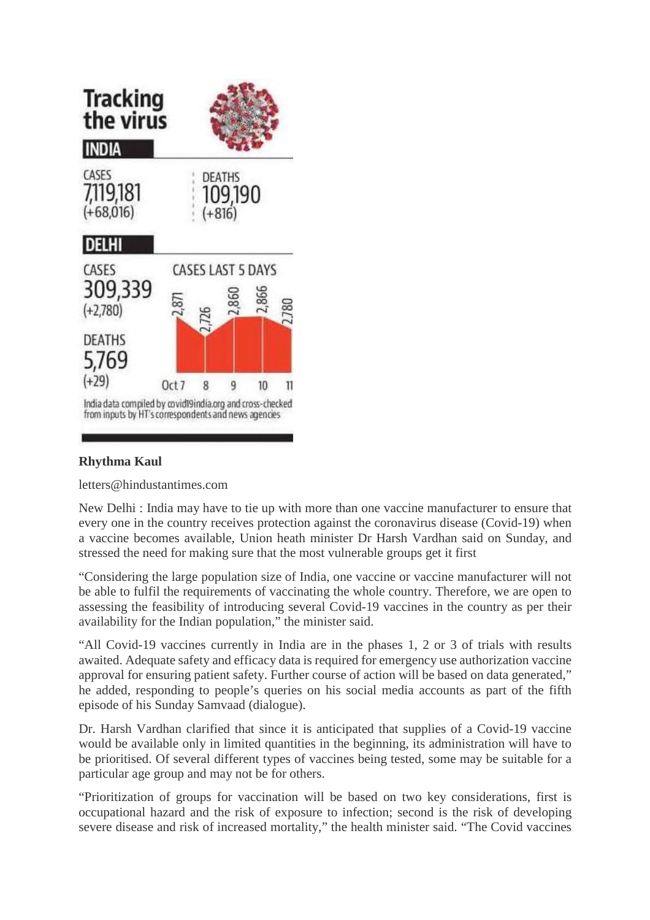

### **Rhythma Kaul**

letters@hindustantimes.com

New Delhi : India may have to tie up with more than one vaccine manufacturer to ensure that every one in the country receives protection against the coronavirus disease (Covid-19) when a vaccine becomes available, Union heath minister Dr Harsh Vardhan said on Sunday, and stressed the need for making sure that the most vulnerable groups get it first

"Considering the large population size of India, one vaccine or vaccine manufacturer will not be able to fulfil the requirements of vaccinating the whole country. Therefore, we are open to assessing the feasibility of introducing several Covid-19 vaccines in the country as per their availability for the Indian population," the minister said.

"All Covid-19 vaccines currently in India are in the phases 1, 2 or 3 of trials with results awaited. Adequate safety and efficacy data is required for emergency use authorization vaccine approval for ensuring patient safety. Further course of action will be based on data generated," he added, responding to people's queries on his social media accounts as part of the fifth episode of his Sunday Samvaad (dialogue).

Dr. Harsh Vardhan clarified that since it is anticipated that supplies of a Covid-19 vaccine would be available only in limited quantities in the beginning, its administration will have to be prioritised. Of several different types of vaccines being tested, some may be suitable for a particular age group and may not be for others.

"Prioritization of groups for vaccination will be based on two key considerations, first is occupational hazard and the risk of exposure to infection; second is the risk of developing severe disease and risk of increased mortality," the health minister said. "The Covid vaccines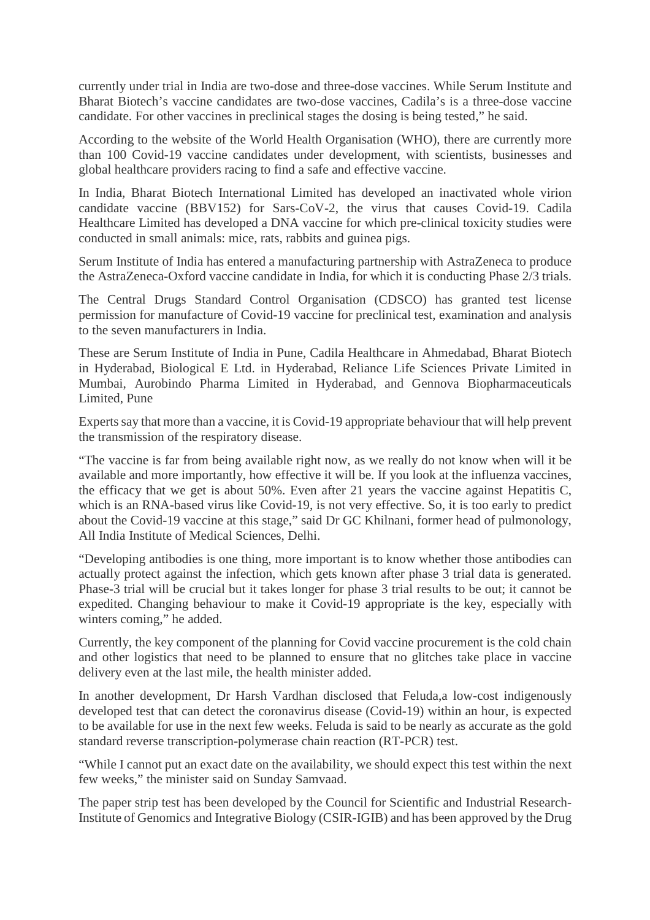currently under trial in India are two-dose and three-dose vaccines. While Serum Institute and Bharat Biotech's vaccine candidates are two-dose vaccines, Cadila's is a three-dose vaccine candidate. For other vaccines in preclinical stages the dosing is being tested," he said.

According to the website of the World Health Organisation (WHO), there are currently more than 100 Covid-19 vaccine candidates under development, with scientists, businesses and global healthcare providers racing to find a safe and effective vaccine.

In India, Bharat Biotech International Limited has developed an inactivated whole virion candidate vaccine (BBV152) for Sars-CoV-2, the virus that causes Covid-19. Cadila Healthcare Limited has developed a DNA vaccine for which pre-clinical toxicity studies were conducted in small animals: mice, rats, rabbits and guinea pigs.

Serum Institute of India has entered a manufacturing partnership with AstraZeneca to produce the AstraZeneca-Oxford vaccine candidate in India, for which it is conducting Phase 2/3 trials.

The Central Drugs Standard Control Organisation (CDSCO) has granted test license permission for manufacture of Covid-19 vaccine for preclinical test, examination and analysis to the seven manufacturers in India.

These are Serum Institute of India in Pune, Cadila Healthcare in Ahmedabad, Bharat Biotech in Hyderabad, Biological E Ltd. in Hyderabad, Reliance Life Sciences Private Limited in Mumbai, Aurobindo Pharma Limited in Hyderabad, and Gennova Biopharmaceuticals Limited, Pune

Experts say that more than a vaccine, it is Covid-19 appropriate behaviour that will help prevent the transmission of the respiratory disease.

"The vaccine is far from being available right now, as we really do not know when will it be available and more importantly, how effective it will be. If you look at the influenza vaccines, the efficacy that we get is about 50%. Even after 21 years the vaccine against Hepatitis C, which is an RNA-based virus like Covid-19, is not very effective. So, it is too early to predict about the Covid-19 vaccine at this stage," said Dr GC Khilnani, former head of pulmonology, All India Institute of Medical Sciences, Delhi.

"Developing antibodies is one thing, more important is to know whether those antibodies can actually protect against the infection, which gets known after phase 3 trial data is generated. Phase-3 trial will be crucial but it takes longer for phase 3 trial results to be out; it cannot be expedited. Changing behaviour to make it Covid-19 appropriate is the key, especially with winters coming," he added.

Currently, the key component of the planning for Covid vaccine procurement is the cold chain and other logistics that need to be planned to ensure that no glitches take place in vaccine delivery even at the last mile, the health minister added.

In another development, Dr Harsh Vardhan disclosed that Feluda,a low-cost indigenously developed test that can detect the coronavirus disease (Covid-19) within an hour, is expected to be available for use in the next few weeks. Feluda is said to be nearly as accurate as the gold standard reverse transcription-polymerase chain reaction (RT-PCR) test.

"While I cannot put an exact date on the availability, we should expect this test within the next few weeks," the minister said on Sunday Samvaad.

The paper strip test has been developed by the Council for Scientific and Industrial Research-Institute of Genomics and Integrative Biology (CSIR-IGIB) and has been approved by the Drug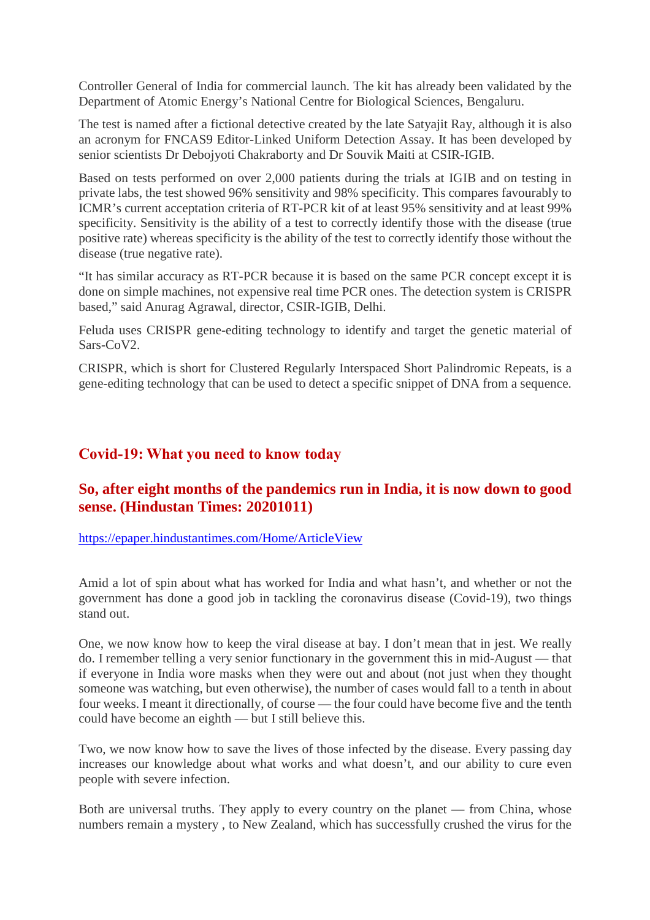Controller General of India for commercial launch. The kit has already been validated by the Department of Atomic Energy's National Centre for Biological Sciences, Bengaluru.

The test is named after a fictional detective created by the late Satyajit Ray, although it is also an acronym for FNCAS9 Editor-Linked Uniform Detection Assay. It has been developed by senior scientists Dr Debojyoti Chakraborty and Dr Souvik Maiti at CSIR-IGIB.

Based on tests performed on over 2,000 patients during the trials at IGIB and on testing in private labs, the test showed 96% sensitivity and 98% specificity. This compares favourably to ICMR's current acceptation criteria of RT-PCR kit of at least 95% sensitivity and at least 99% specificity. Sensitivity is the ability of a test to correctly identify those with the disease (true positive rate) whereas specificity is the ability of the test to correctly identify those without the disease (true negative rate).

"It has similar accuracy as RT-PCR because it is based on the same PCR concept except it is done on simple machines, not expensive real time PCR ones. The detection system is CRISPR based," said Anurag Agrawal, director, CSIR-IGIB, Delhi.

Feluda uses CRISPR gene-editing technology to identify and target the genetic material of Sars-CoV2.

CRISPR, which is short for Clustered Regularly Interspaced Short Palindromic Repeats, is a gene-editing technology that can be used to detect a specific snippet of DNA from a sequence.

### **Covid-19: What you need to know today**

# **So, after eight months of the pandemics run in India, it is now down to good sense. (Hindustan Times: 20201011)**

https://epaper.hindustantimes.com/Home/ArticleView

Amid a lot of spin about what has worked for India and what hasn't, and whether or not the government has done a good job in tackling the coronavirus disease (Covid-19), two things stand out.

One, we now know how to keep the viral disease at bay. I don't mean that in jest. We really do. I remember telling a very senior functionary in the government this in mid-August — that if everyone in India wore masks when they were out and about (not just when they thought someone was watching, but even otherwise), the number of cases would fall to a tenth in about four weeks. I meant it directionally, of course — the four could have become five and the tenth could have become an eighth — but I still believe this.

Two, we now know how to save the lives of those infected by the disease. Every passing day increases our knowledge about what works and what doesn't, and our ability to cure even people with severe infection.

Both are universal truths. They apply to every country on the planet — from China, whose numbers remain a mystery , to New Zealand, which has successfully crushed the virus for the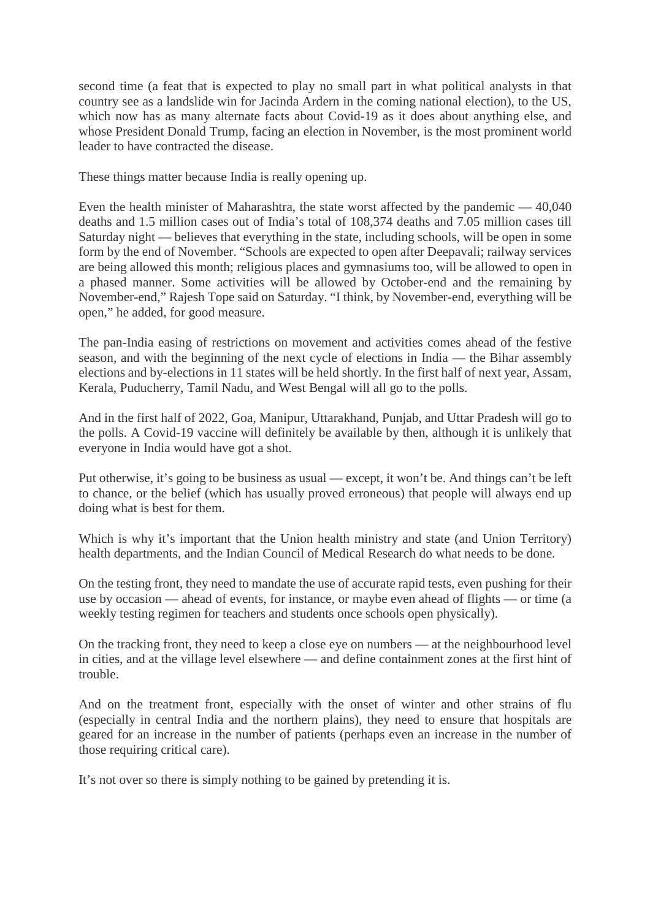second time (a feat that is expected to play no small part in what political analysts in that country see as a landslide win for Jacinda Ardern in the coming national election), to the US, which now has as many alternate facts about Covid-19 as it does about anything else, and whose President Donald Trump, facing an election in November, is the most prominent world leader to have contracted the disease.

These things matter because India is really opening up.

Even the health minister of Maharashtra, the state worst affected by the pandemic — 40,040 deaths and 1.5 million cases out of India's total of 108,374 deaths and 7.05 million cases till Saturday night — believes that everything in the state, including schools, will be open in some form by the end of November. "Schools are expected to open after Deepavali; railway services are being allowed this month; religious places and gymnasiums too, will be allowed to open in a phased manner. Some activities will be allowed by October-end and the remaining by November-end," Rajesh Tope said on Saturday. "I think, by November-end, everything will be open," he added, for good measure.

The pan-India easing of restrictions on movement and activities comes ahead of the festive season, and with the beginning of the next cycle of elections in India — the Bihar assembly elections and by-elections in 11 states will be held shortly. In the first half of next year, Assam, Kerala, Puducherry, Tamil Nadu, and West Bengal will all go to the polls.

And in the first half of 2022, Goa, Manipur, Uttarakhand, Punjab, and Uttar Pradesh will go to the polls. A Covid-19 vaccine will definitely be available by then, although it is unlikely that everyone in India would have got a shot.

Put otherwise, it's going to be business as usual — except, it won't be. And things can't be left to chance, or the belief (which has usually proved erroneous) that people will always end up doing what is best for them.

Which is why it's important that the Union health ministry and state (and Union Territory) health departments, and the Indian Council of Medical Research do what needs to be done.

On the testing front, they need to mandate the use of accurate rapid tests, even pushing for their use by occasion — ahead of events, for instance, or maybe even ahead of flights — or time (a weekly testing regimen for teachers and students once schools open physically).

On the tracking front, they need to keep a close eye on numbers — at the neighbourhood level in cities, and at the village level elsewhere — and define containment zones at the first hint of trouble.

And on the treatment front, especially with the onset of winter and other strains of flu (especially in central India and the northern plains), they need to ensure that hospitals are geared for an increase in the number of patients (perhaps even an increase in the number of those requiring critical care).

It's not over so there is simply nothing to be gained by pretending it is.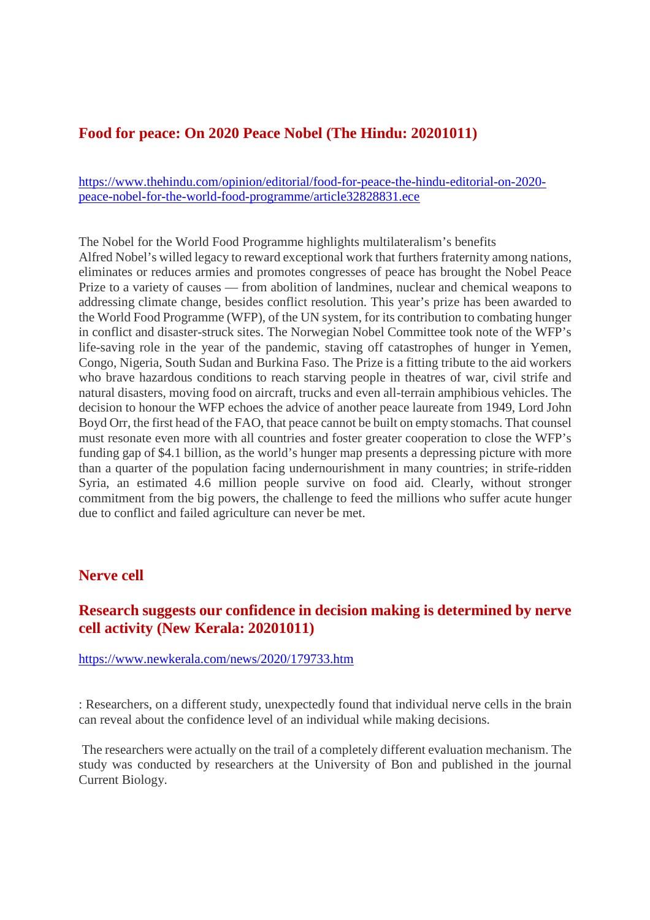### **Food for peace: On 2020 Peace Nobel (The Hindu: 20201011)**

https://www.thehindu.com/opinion/editorial/food-for-peace-the-hindu-editorial-on-2020 peace-nobel-for-the-world-food-programme/article32828831.ece

The Nobel for the World Food Programme highlights multilateralism's benefits Alfred Nobel's willed legacy to reward exceptional work that furthers fraternity among nations, eliminates or reduces armies and promotes congresses of peace has brought the Nobel Peace Prize to a variety of causes — from abolition of landmines, nuclear and chemical weapons to addressing climate change, besides conflict resolution. This year's prize has been awarded to the World Food Programme (WFP), of the UN system, for its contribution to combating hunger in conflict and disaster-struck sites. The Norwegian Nobel Committee took note of the WFP's life-saving role in the year of the pandemic, staving off catastrophes of hunger in Yemen, Congo, Nigeria, South Sudan and Burkina Faso. The Prize is a fitting tribute to the aid workers who brave hazardous conditions to reach starving people in theatres of war, civil strife and natural disasters, moving food on aircraft, trucks and even all-terrain amphibious vehicles. The decision to honour the WFP echoes the advice of another peace laureate from 1949, Lord John Boyd Orr, the first head of the FAO, that peace cannot be built on empty stomachs. That counsel must resonate even more with all countries and foster greater cooperation to close the WFP's funding gap of \$4.1 billion, as the world's hunger map presents a depressing picture with more than a quarter of the population facing undernourishment in many countries; in strife-ridden Syria, an estimated 4.6 million people survive on food aid. Clearly, without stronger commitment from the big powers, the challenge to feed the millions who suffer acute hunger due to conflict and failed agriculture can never be met.

#### **Nerve cell**

# **Research suggests our confidence in decision making is determined by nerve cell activity (New Kerala: 20201011)**

https://www.newkerala.com/news/2020/179733.htm

: Researchers, on a different study, unexpectedly found that individual nerve cells in the brain can reveal about the confidence level of an individual while making decisions.

The researchers were actually on the trail of a completely different evaluation mechanism. The study was conducted by researchers at the University of Bon and published in the journal Current Biology.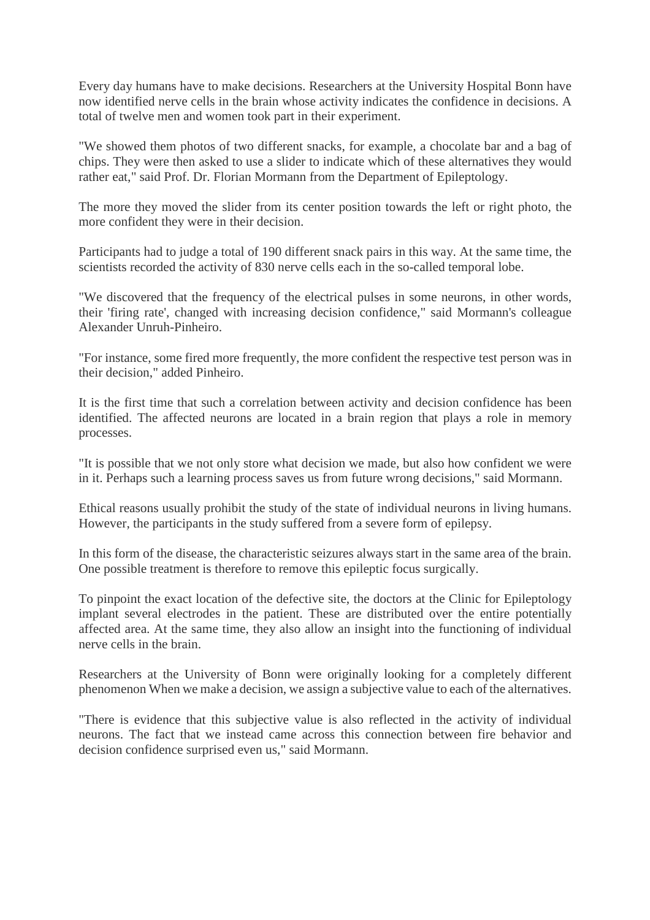Every day humans have to make decisions. Researchers at the University Hospital Bonn have now identified nerve cells in the brain whose activity indicates the confidence in decisions. A total of twelve men and women took part in their experiment.

"We showed them photos of two different snacks, for example, a chocolate bar and a bag of chips. They were then asked to use a slider to indicate which of these alternatives they would rather eat," said Prof. Dr. Florian Mormann from the Department of Epileptology.

The more they moved the slider from its center position towards the left or right photo, the more confident they were in their decision.

Participants had to judge a total of 190 different snack pairs in this way. At the same time, the scientists recorded the activity of 830 nerve cells each in the so-called temporal lobe.

"We discovered that the frequency of the electrical pulses in some neurons, in other words, their 'firing rate', changed with increasing decision confidence," said Mormann's colleague Alexander Unruh-Pinheiro.

"For instance, some fired more frequently, the more confident the respective test person was in their decision," added Pinheiro.

It is the first time that such a correlation between activity and decision confidence has been identified. The affected neurons are located in a brain region that plays a role in memory processes.

"It is possible that we not only store what decision we made, but also how confident we were in it. Perhaps such a learning process saves us from future wrong decisions," said Mormann.

Ethical reasons usually prohibit the study of the state of individual neurons in living humans. However, the participants in the study suffered from a severe form of epilepsy.

In this form of the disease, the characteristic seizures always start in the same area of the brain. One possible treatment is therefore to remove this epileptic focus surgically.

To pinpoint the exact location of the defective site, the doctors at the Clinic for Epileptology implant several electrodes in the patient. These are distributed over the entire potentially affected area. At the same time, they also allow an insight into the functioning of individual nerve cells in the brain.

Researchers at the University of Bonn were originally looking for a completely different phenomenon When we make a decision, we assign a subjective value to each of the alternatives.

"There is evidence that this subjective value is also reflected in the activity of individual neurons. The fact that we instead came across this connection between fire behavior and decision confidence surprised even us," said Mormann.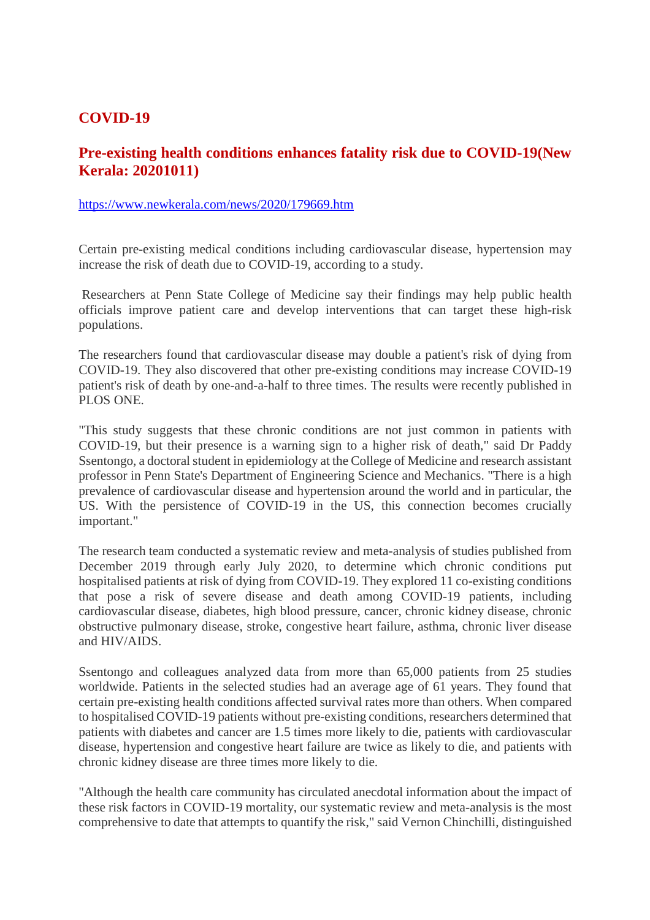## **COVID-19**

# **Pre-existing health conditions enhances fatality risk due to COVID-19(New Kerala: 20201011)**

#### https://www.newkerala.com/news/2020/179669.htm

Certain pre-existing medical conditions including cardiovascular disease, hypertension may increase the risk of death due to COVID-19, according to a study.

Researchers at Penn State College of Medicine say their findings may help public health officials improve patient care and develop interventions that can target these high-risk populations.

The researchers found that cardiovascular disease may double a patient's risk of dying from COVID-19. They also discovered that other pre-existing conditions may increase COVID-19 patient's risk of death by one-and-a-half to three times. The results were recently published in PLOS ONE.

"This study suggests that these chronic conditions are not just common in patients with COVID-19, but their presence is a warning sign to a higher risk of death," said Dr Paddy Ssentongo, a doctoral student in epidemiology at the College of Medicine and research assistant professor in Penn State's Department of Engineering Science and Mechanics. "There is a high prevalence of cardiovascular disease and hypertension around the world and in particular, the US. With the persistence of COVID-19 in the US, this connection becomes crucially important."

The research team conducted a systematic review and meta-analysis of studies published from December 2019 through early July 2020, to determine which chronic conditions put hospitalised patients at risk of dying from COVID-19. They explored 11 co-existing conditions that pose a risk of severe disease and death among COVID-19 patients, including cardiovascular disease, diabetes, high blood pressure, cancer, chronic kidney disease, chronic obstructive pulmonary disease, stroke, congestive heart failure, asthma, chronic liver disease and HIV/AIDS.

Ssentongo and colleagues analyzed data from more than 65,000 patients from 25 studies worldwide. Patients in the selected studies had an average age of 61 years. They found that certain pre-existing health conditions affected survival rates more than others. When compared to hospitalised COVID-19 patients without pre-existing conditions, researchers determined that patients with diabetes and cancer are 1.5 times more likely to die, patients with cardiovascular disease, hypertension and congestive heart failure are twice as likely to die, and patients with chronic kidney disease are three times more likely to die.

"Although the health care community has circulated anecdotal information about the impact of these risk factors in COVID-19 mortality, our systematic review and meta-analysis is the most comprehensive to date that attempts to quantify the risk," said Vernon Chinchilli, distinguished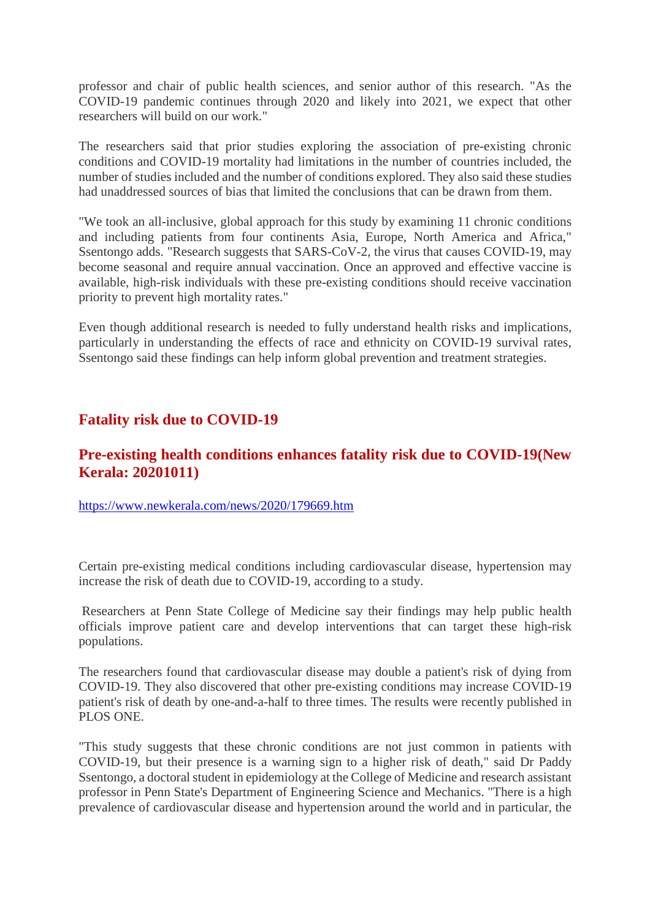professor and chair of public health sciences, and senior author of this research. "As the COVID-19 pandemic continues through 2020 and likely into 2021, we expect that other researchers will build on our work."

The researchers said that prior studies exploring the association of pre-existing chronic conditions and COVID-19 mortality had limitations in the number of countries included, the number of studies included and the number of conditions explored. They also said these studies had unaddressed sources of bias that limited the conclusions that can be drawn from them.

"We took an all-inclusive, global approach for this study by examining 11 chronic conditions and including patients from four continents Asia, Europe, North America and Africa," Ssentongo adds. "Research suggests that SARS-CoV-2, the virus that causes COVID-19, may become seasonal and require annual vaccination. Once an approved and effective vaccine is available, high-risk individuals with these pre-existing conditions should receive vaccination priority to prevent high mortality rates."

Even though additional research is needed to fully understand health risks and implications, particularly in understanding the effects of race and ethnicity on COVID-19 survival rates, Ssentongo said these findings can help inform global prevention and treatment strategies.

# **Fatality risk due to COVID-19**

# **Pre-existing health conditions enhances fatality risk due to COVID-19(New Kerala: 20201011)**

https://www.newkerala.com/news/2020/179669.htm

Certain pre-existing medical conditions including cardiovascular disease, hypertension may increase the risk of death due to COVID-19, according to a study.

Researchers at Penn State College of Medicine say their findings may help public health officials improve patient care and develop interventions that can target these high-risk populations.

The researchers found that cardiovascular disease may double a patient's risk of dying from COVID-19. They also discovered that other pre-existing conditions may increase COVID-19 patient's risk of death by one-and-a-half to three times. The results were recently published in PLOS ONE.

"This study suggests that these chronic conditions are not just common in patients with COVID-19, but their presence is a warning sign to a higher risk of death," said Dr Paddy Ssentongo, a doctoral student in epidemiology at the College of Medicine and research assistant professor in Penn State's Department of Engineering Science and Mechanics. "There is a high prevalence of cardiovascular disease and hypertension around the world and in particular, the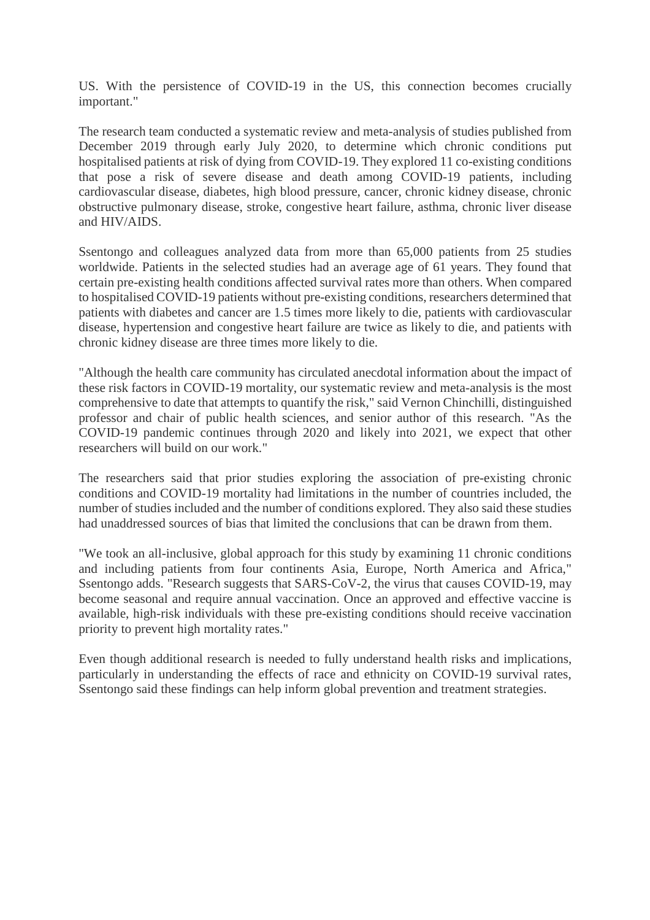US. With the persistence of COVID-19 in the US, this connection becomes crucially important."

The research team conducted a systematic review and meta-analysis of studies published from December 2019 through early July 2020, to determine which chronic conditions put hospitalised patients at risk of dying from COVID-19. They explored 11 co-existing conditions that pose a risk of severe disease and death among COVID-19 patients, including cardiovascular disease, diabetes, high blood pressure, cancer, chronic kidney disease, chronic obstructive pulmonary disease, stroke, congestive heart failure, asthma, chronic liver disease and HIV/AIDS.

Ssentongo and colleagues analyzed data from more than 65,000 patients from 25 studies worldwide. Patients in the selected studies had an average age of 61 years. They found that certain pre-existing health conditions affected survival rates more than others. When compared to hospitalised COVID-19 patients without pre-existing conditions, researchers determined that patients with diabetes and cancer are 1.5 times more likely to die, patients with cardiovascular disease, hypertension and congestive heart failure are twice as likely to die, and patients with chronic kidney disease are three times more likely to die.

"Although the health care community has circulated anecdotal information about the impact of these risk factors in COVID-19 mortality, our systematic review and meta-analysis is the most comprehensive to date that attempts to quantify the risk," said Vernon Chinchilli, distinguished professor and chair of public health sciences, and senior author of this research. "As the COVID-19 pandemic continues through 2020 and likely into 2021, we expect that other researchers will build on our work."

The researchers said that prior studies exploring the association of pre-existing chronic conditions and COVID-19 mortality had limitations in the number of countries included, the number of studies included and the number of conditions explored. They also said these studies had unaddressed sources of bias that limited the conclusions that can be drawn from them.

"We took an all-inclusive, global approach for this study by examining 11 chronic conditions and including patients from four continents Asia, Europe, North America and Africa," Ssentongo adds. "Research suggests that SARS-CoV-2, the virus that causes COVID-19, may become seasonal and require annual vaccination. Once an approved and effective vaccine is available, high-risk individuals with these pre-existing conditions should receive vaccination priority to prevent high mortality rates."

Even though additional research is needed to fully understand health risks and implications, particularly in understanding the effects of race and ethnicity on COVID-19 survival rates, Ssentongo said these findings can help inform global prevention and treatment strategies.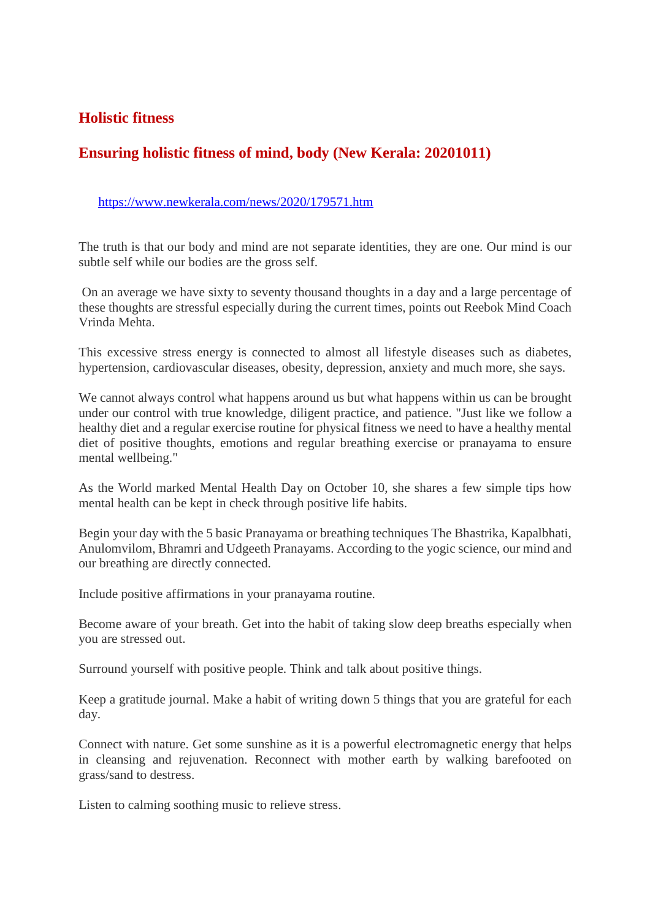# **Holistic fitness**

# **Ensuring holistic fitness of mind, body (New Kerala: 20201011)**

#### https://www.newkerala.com/news/2020/179571.htm

The truth is that our body and mind are not separate identities, they are one. Our mind is our subtle self while our bodies are the gross self.

On an average we have sixty to seventy thousand thoughts in a day and a large percentage of these thoughts are stressful especially during the current times, points out Reebok Mind Coach Vrinda Mehta.

This excessive stress energy is connected to almost all lifestyle diseases such as diabetes, hypertension, cardiovascular diseases, obesity, depression, anxiety and much more, she says.

We cannot always control what happens around us but what happens within us can be brought under our control with true knowledge, diligent practice, and patience. "Just like we follow a healthy diet and a regular exercise routine for physical fitness we need to have a healthy mental diet of positive thoughts, emotions and regular breathing exercise or pranayama to ensure mental wellbeing."

As the World marked Mental Health Day on October 10, she shares a few simple tips how mental health can be kept in check through positive life habits.

Begin your day with the 5 basic Pranayama or breathing techniques The Bhastrika, Kapalbhati, Anulomvilom, Bhramri and Udgeeth Pranayams. According to the yogic science, our mind and our breathing are directly connected.

Include positive affirmations in your pranayama routine.

Become aware of your breath. Get into the habit of taking slow deep breaths especially when you are stressed out.

Surround yourself with positive people. Think and talk about positive things.

Keep a gratitude journal. Make a habit of writing down 5 things that you are grateful for each day.

Connect with nature. Get some sunshine as it is a powerful electromagnetic energy that helps in cleansing and rejuvenation. Reconnect with mother earth by walking barefooted on grass/sand to destress.

Listen to calming soothing music to relieve stress.